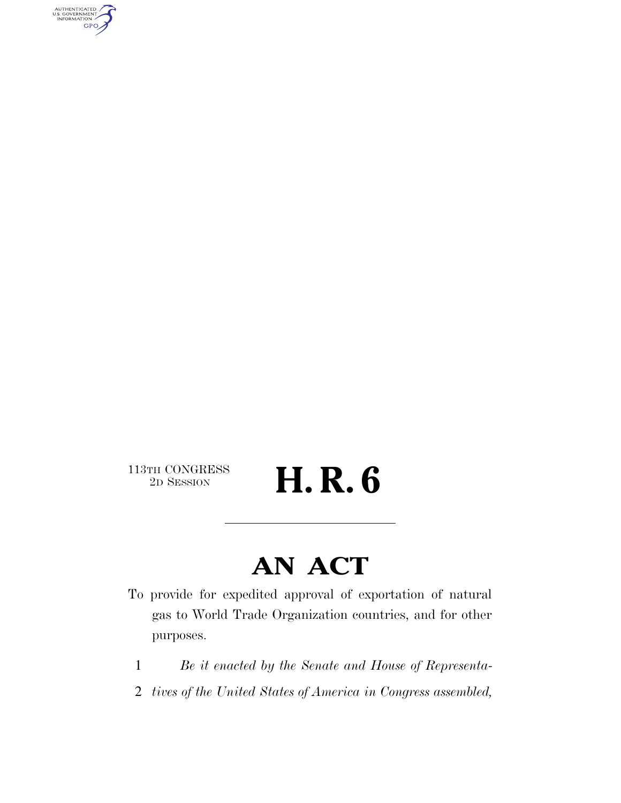AUTHENTICATED<br>U.S. GOVERNMENT<br>INFORMATION **GPO** 

113TH CONGRESS<br>2D SESSION

2D SESSION **H. R. 6** 

### **AN ACT**

- To provide for expedited approval of exportation of natural gas to World Trade Organization countries, and for other purposes.
	- 1 *Be it enacted by the Senate and House of Representa-*
	- 2 *tives of the United States of America in Congress assembled,*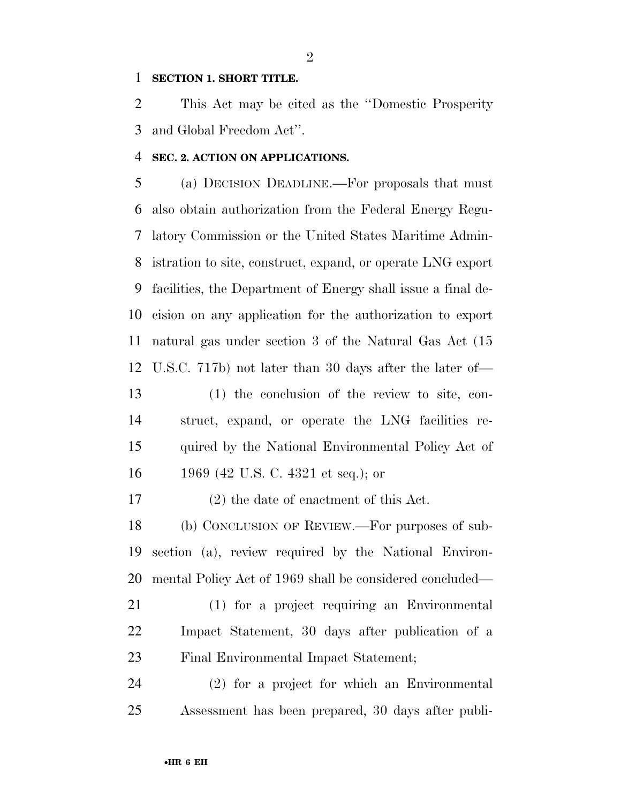#### **SECTION 1. SHORT TITLE.**

 This Act may be cited as the ''Domestic Prosperity and Global Freedom Act''.

#### **SEC. 2. ACTION ON APPLICATIONS.**

 (a) DECISION DEADLINE.—For proposals that must also obtain authorization from the Federal Energy Regu- latory Commission or the United States Maritime Admin- istration to site, construct, expand, or operate LNG export facilities, the Department of Energy shall issue a final de- cision on any application for the authorization to export natural gas under section 3 of the Natural Gas Act (15 U.S.C. 717b) not later than 30 days after the later of—

 (1) the conclusion of the review to site, con- struct, expand, or operate the LNG facilities re- quired by the National Environmental Policy Act of 1969 (42 U.S. C. 4321 et seq.); or

(2) the date of enactment of this Act.

 (b) CONCLUSION OF REVIEW.—For purposes of sub- section (a), review required by the National Environ-mental Policy Act of 1969 shall be considered concluded—

 (1) for a project requiring an Environmental Impact Statement, 30 days after publication of a Final Environmental Impact Statement;

 (2) for a project for which an Environmental Assessment has been prepared, 30 days after publi-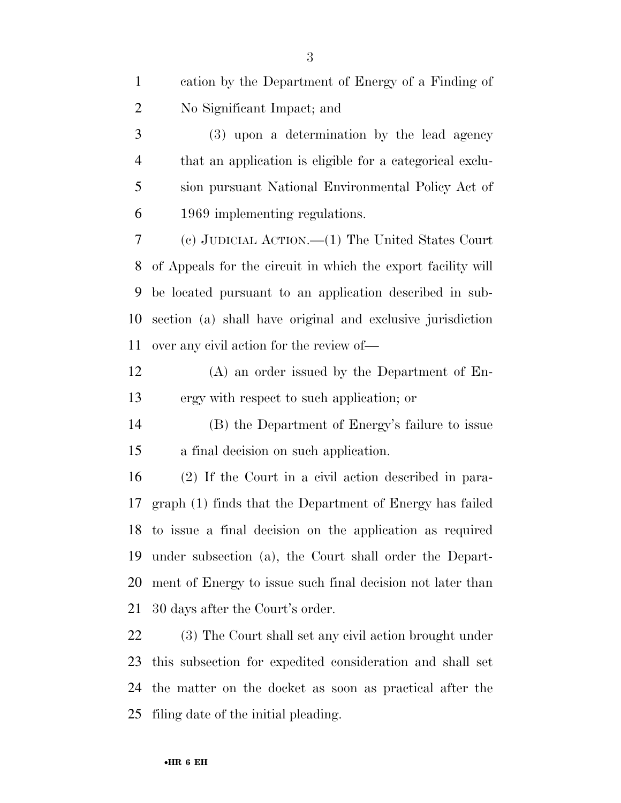| $\mathbf{1}$   | cation by the Department of Energy of a Finding of           |
|----------------|--------------------------------------------------------------|
| $\overline{c}$ | No Significant Impact; and                                   |
| 3              | (3) upon a determination by the lead agency                  |
| $\overline{4}$ | that an application is eligible for a categorical exclu-     |
| 5              | sion pursuant National Environmental Policy Act of           |
| 6              | 1969 implementing regulations.                               |
| 7              | (c) JUDICIAL ACTION.— $(1)$ The United States Court          |
| 8              | of Appeals for the circuit in which the export facility will |
| 9              | be located pursuant to an application described in sub-      |
| 10             | section (a) shall have original and exclusive jurisdiction   |
| 11             | over any civil action for the review of—                     |
| 12             | $(A)$ an order issued by the Department of En-               |
| 13             | ergy with respect to such application; or                    |
| 14             | (B) the Department of Energy's failure to issue              |
| 15             | a final decision on such application.                        |
| 16             | (2) If the Court in a civil action described in para-        |
| 17             | graph (1) finds that the Department of Energy has failed     |
|                | 18 to issue a final decision on the application as required  |
| 19             | under subsection (a), the Court shall order the Depart-      |
| 20             | ment of Energy to issue such final decision not later than   |
| 21             | 30 days after the Court's order.                             |
| 22             | (3) The Court shall set any civil action brought under       |
| 23             | this subsection for expedited consideration and shall set    |
| 24             | the matter on the docket as soon as practical after the      |

filing date of the initial pleading.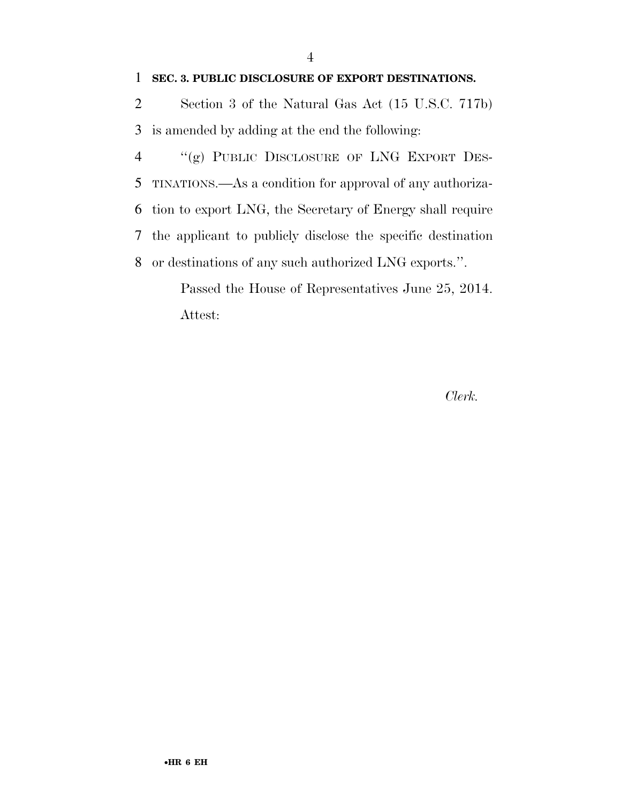#### **SEC. 3. PUBLIC DISCLOSURE OF EXPORT DESTINATIONS.**

 Section 3 of the Natural Gas Act (15 U.S.C. 717b) is amended by adding at the end the following:

 ''(g) PUBLIC DISCLOSURE OF LNG EXPORT DES- TINATIONS.—As a condition for approval of any authoriza- tion to export LNG, the Secretary of Energy shall require the applicant to publicly disclose the specific destination or destinations of any such authorized LNG exports.''.

Passed the House of Representatives June 25, 2014. Attest:

*Clerk.*